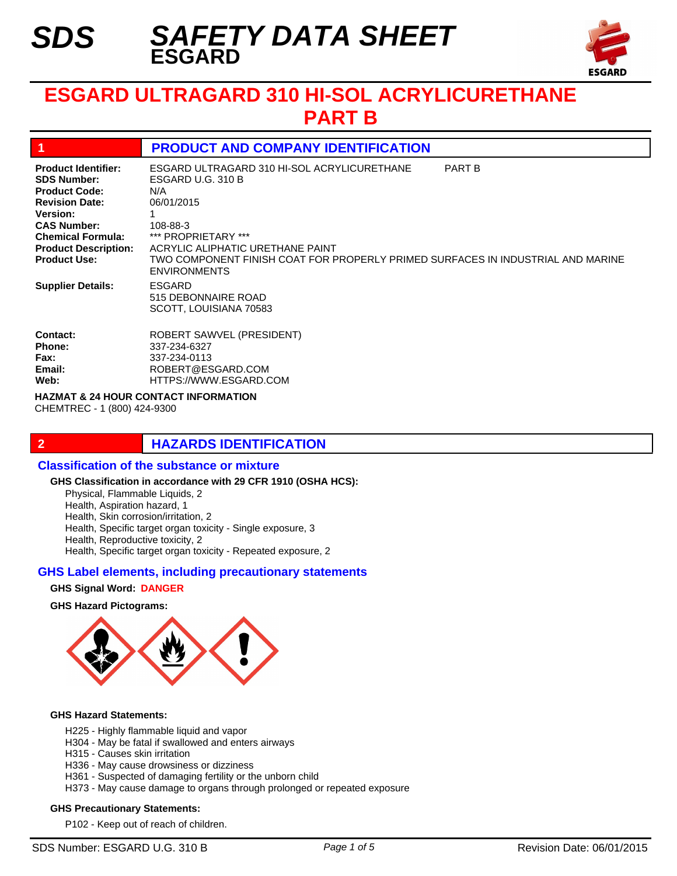*SDS*



# **ESGARD ULTRAGARD 310 HI-SOL ACRYLICURETHANE PART B**

# **1 PRODUCT AND COMPANY IDENTIFICATION**

| <b>Product Identifier:</b><br><b>SDS Number:</b><br><b>Product Code:</b><br><b>Revision Date:</b><br><b>Version:</b><br><b>CAS Number:</b><br><b>Chemical Formula:</b><br><b>Product Description:</b><br><b>Product Use:</b> | ESGARD ULTRAGARD 310 HI-SOL ACRYLICURETHANE<br>ESGARD U.G. 310 B<br>N/A<br>06/01/2015<br>108-88-3<br>*** PROPRIETARY ***<br>ACRYLIC ALIPHATIC URETHANE PAINT<br>TWO COMPONENT FINISH COAT FOR PROPERLY PRIMED SURFACES IN INDUSTRIAL AND MARINE<br><b>ENVIRONMENTS</b> | <b>PART B</b> |
|------------------------------------------------------------------------------------------------------------------------------------------------------------------------------------------------------------------------------|------------------------------------------------------------------------------------------------------------------------------------------------------------------------------------------------------------------------------------------------------------------------|---------------|
| <b>Supplier Details:</b><br>Contact:                                                                                                                                                                                         | <b>ESGARD</b><br>515 DEBONNAIRE ROAD<br>SCOTT, LOUISIANA 70583                                                                                                                                                                                                         |               |
| <b>Phone:</b>                                                                                                                                                                                                                | ROBERT SAWVEL (PRESIDENT)<br>337-234-6327                                                                                                                                                                                                                              |               |
| Fax:                                                                                                                                                                                                                         | 337-234-0113                                                                                                                                                                                                                                                           |               |
| Email:<br>Web:                                                                                                                                                                                                               | ROBERT@ESGARD.COM<br>HTTPS://WWW.ESGARD.COM                                                                                                                                                                                                                            |               |
|                                                                                                                                                                                                                              |                                                                                                                                                                                                                                                                        |               |

**HAZMAT & 24 HOUR CONTACT INFORMATION**  CHEMTREC - 1 (800) 424-9300

# **2 HAZARDS IDENTIFICATION**

#### **Classification of the substance or mixture**

#### **GHS Classification in accordance with 29 CFR 1910 (OSHA HCS):**

Physical, Flammable Liquids, 2 Health, Aspiration hazard, 1

Health, Skin corrosion/irritation, 2

Health, Specific target organ toxicity - Single exposure, 3

Health, Reproductive toxicity, 2

Health, Specific target organ toxicity - Repeated exposure, 2

#### **GHS Label elements, including precautionary statements**

#### **GHS Signal Word: DANGER**

#### **GHS Hazard Pictograms:**



#### **GHS Hazard Statements:**

- H225 Highly flammable liquid and vapor
- H304 May be fatal if swallowed and enters airways
- H315 Causes skin irritation
- H336 May cause drowsiness or dizziness
- H361 Suspected of damaging fertility or the unborn child
- H373 May cause damage to organs through prolonged or repeated exposure

#### **GHS Precautionary Statements:**

P102 - Keep out of reach of children.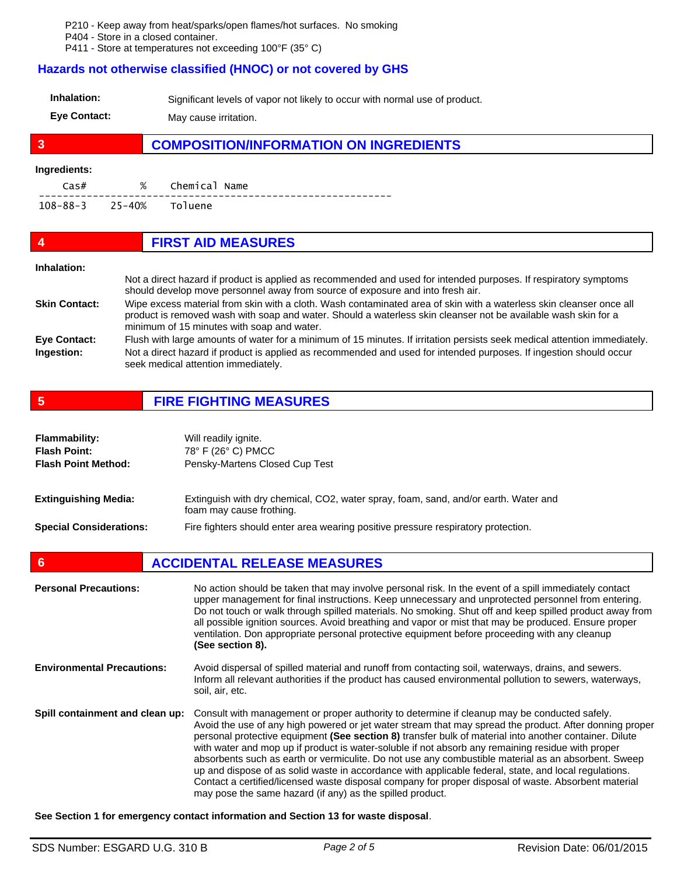P210 - Keep away from heat/sparks/open flames/hot surfaces. No smoking

P404 - Store in a closed container.

P411 - Store at temperatures not exceeding 100°F (35° C)

#### **Hazards not otherwise classified (HNOC) or not covered by GHS**

| Inhalation:         | Significant levels of vapor not likely to occur with normal use of product. |
|---------------------|-----------------------------------------------------------------------------|
| <b>Eve Contact:</b> | May cause irritation.                                                       |

# **3 COMPOSITION/INFORMATION ON INGREDIENTS**

#### **Ingredients:**

| $\cos#$                 | % | Chemical Name |  |
|-------------------------|---|---------------|--|
| 108-88-3 25-40% Toluene |   |               |  |

| 4                    | <b>FIRST AID MEASURES</b>                                                                                                                                                                                                                                                           |
|----------------------|-------------------------------------------------------------------------------------------------------------------------------------------------------------------------------------------------------------------------------------------------------------------------------------|
| Inhalation:          |                                                                                                                                                                                                                                                                                     |
|                      | Not a direct hazard if product is applied as recommended and used for intended purposes. If respiratory symptoms<br>should develop move personnel away from source of exposure and into fresh air.                                                                                  |
| <b>Skin Contact:</b> | Wipe excess material from skin with a cloth. Wash contaminated area of skin with a waterless skin cleanser once all<br>product is removed wash with soap and water. Should a waterless skin cleanser not be available wash skin for a<br>minimum of 15 minutes with soap and water. |
| <b>Eye Contact:</b>  | Flush with large amounts of water for a minimum of 15 minutes. If irritation persists seek medical attention immediately.                                                                                                                                                           |
| Ingestion:           | Not a direct hazard if product is applied as recommended and used for intended purposes. If ingestion should occur<br>seek medical attention immediately.                                                                                                                           |

**5 FIRE FIGHTING MEASURES**

| <b>Flammability:</b><br><b>Flash Point:</b><br><b>Flash Point Method:</b> | Will readily ignite.<br>78° F (26° C) PMCC<br>Pensky-Martens Closed Cup Test                                    |
|---------------------------------------------------------------------------|-----------------------------------------------------------------------------------------------------------------|
| <b>Extinguishing Media:</b>                                               | Extinguish with dry chemical, CO2, water spray, foam, sand, and/or earth. Water and<br>foam may cause frothing. |
| <b>Special Considerations:</b>                                            | Fire fighters should enter area wearing positive pressure respiratory protection.                               |

# **6 ACCIDENTAL RELEASE MEASURES**

| <b>Personal Precautions:</b>      | No action should be taken that may involve personal risk. In the event of a spill immediately contact<br>upper management for final instructions. Keep unnecessary and unprotected personnel from entering.<br>Do not touch or walk through spilled materials. No smoking. Shut off and keep spilled product away from<br>all possible ignition sources. Avoid breathing and vapor or mist that may be produced. Ensure proper<br>ventilation. Don appropriate personal protective equipment before proceeding with any cleanup<br>(See section 8).                                                                                                                                                                                                                                                         |
|-----------------------------------|-------------------------------------------------------------------------------------------------------------------------------------------------------------------------------------------------------------------------------------------------------------------------------------------------------------------------------------------------------------------------------------------------------------------------------------------------------------------------------------------------------------------------------------------------------------------------------------------------------------------------------------------------------------------------------------------------------------------------------------------------------------------------------------------------------------|
| <b>Environmental Precautions:</b> | Avoid dispersal of spilled material and runoff from contacting soil, waterways, drains, and sewers.<br>Inform all relevant authorities if the product has caused environmental pollution to sewers, waterways,<br>soil, air, etc.                                                                                                                                                                                                                                                                                                                                                                                                                                                                                                                                                                           |
| Spill containment and clean up:   | Consult with management or proper authority to determine if cleanup may be conducted safely.<br>Avoid the use of any high powered or jet water stream that may spread the product. After donning proper<br>personal protective equipment (See section 8) transfer bulk of material into another container. Dilute<br>with water and mop up if product is water-soluble if not absorb any remaining residue with proper<br>absorbents such as earth or vermiculite. Do not use any combustible material as an absorbent. Sweep<br>up and dispose of as solid waste in accordance with applicable federal, state, and local regulations.<br>Contact a certified/licensed waste disposal company for proper disposal of waste. Absorbent material<br>may pose the same hazard (if any) as the spilled product. |

**See Section 1 for emergency contact information and Section 13 for waste disposal**.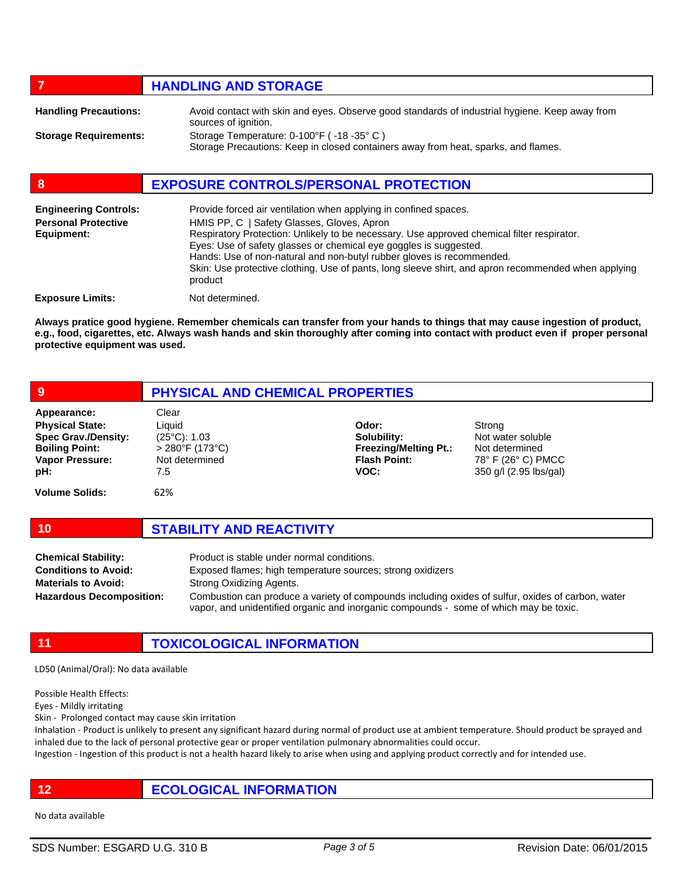### *HANDLING AND STORAGE*

| <b>Handling Precautions:</b> | Avoid contact with skin and eyes. Observe good standards of industrial hygiene. Keep away from<br>sources of ignition.        |
|------------------------------|-------------------------------------------------------------------------------------------------------------------------------|
| <b>Storage Requirements:</b> | Storage Temperature: 0-100°F (-18-35°C)<br>Storage Precautions: Keep in closed containers away from heat, sparks, and flames. |

# **8 EXPOSURE CONTROLS/PERSONAL PROTECTION**

| <b>Engineering Controls:</b><br><b>Personal Protective</b><br>Equipment: | Provide forced air ventilation when applying in confined spaces.<br>HMIS PP, C   Safety Glasses, Gloves, Apron<br>Respiratory Protection: Unlikely to be necessary. Use approved chemical filter respirator.<br>Eyes: Use of safety glasses or chemical eye goggles is suggested.<br>Hands: Use of non-natural and non-butyl rubber gloves is recommended.<br>Skin: Use protective clothing. Use of pants, long sleeve shirt, and apron recommended when applying<br>product |
|--------------------------------------------------------------------------|------------------------------------------------------------------------------------------------------------------------------------------------------------------------------------------------------------------------------------------------------------------------------------------------------------------------------------------------------------------------------------------------------------------------------------------------------------------------------|
| <b>Exposure Limits:</b>                                                  | Not determined.                                                                                                                                                                                                                                                                                                                                                                                                                                                              |

**Always pratice good hygiene. Remember chemicals can transfer from your hands to things that may cause ingestion of product, e.g., food, cigarettes, etc. Always wash hands and skin thoroughly after coming into contact with product even if proper personal protective equipment was used.** 

| 9                                                                                                                                                      | PHYSICAL AND CHEMICAL PROPERTIES                                                                         |                                                                                     |                                                                                               |  |
|--------------------------------------------------------------------------------------------------------------------------------------------------------|----------------------------------------------------------------------------------------------------------|-------------------------------------------------------------------------------------|-----------------------------------------------------------------------------------------------|--|
| Appearance:<br><b>Physical State:</b><br><b>Spec Grav./Density:</b><br><b>Boiling Point:</b><br><b>Vapor Pressure:</b><br>pH:<br><b>Volume Solids:</b> | Clear<br>Liquid<br>$(25^{\circ}C)$ : 1.03<br>$> 280$ °F (173°C)<br>Not determined<br>7.5<br>62%          | Odor:<br>Solubility:<br><b>Freezing/Melting Pt.:</b><br><b>Flash Point:</b><br>VOC: | Strong<br>Not water soluble<br>Not determined<br>78° F (26° C) PMCC<br>350 g/l (2.95 lbs/gal) |  |
| 10                                                                                                                                                     | <b>STABILITY AND REACTIVITY</b>                                                                          |                                                                                     |                                                                                               |  |
| <b>Chemical Stability:</b><br><b>Conditions to Avoid:</b>                                                                                              | Product is stable under normal conditions.<br>Exposed flames; high temperature sources; strong oxidizers |                                                                                     |                                                                                               |  |

Strong Oxidizing Agents. **Materials to Avoid: Hazardous Decomposition:**

Combustion can produce a variety of compounds including oxides of sulfur, oxides of carbon, water vapor, and unidentified organic and inorganic compounds - some of which may be toxic.

**11 TOXICOLOGICAL INFORMATION**

LD50 (Animal/Oral): No data available

Possible Health Effects:

Eyes - Mildly irritating

Skin - Prolonged contact may cause skin irritation

Inhalation - Product is unlikely to present any significant hazard during normal of product use at ambient temperature. Should product be sprayed and inhaled due to the lack of personal protective gear or proper ventilation pulmonary abnormalities could occur.

Ingestion - Ingestion of this product is not a health hazard likely to arise when using and applying product correctly and for intended use.

# **12 ECOLOGICAL INFORMATION**

No data available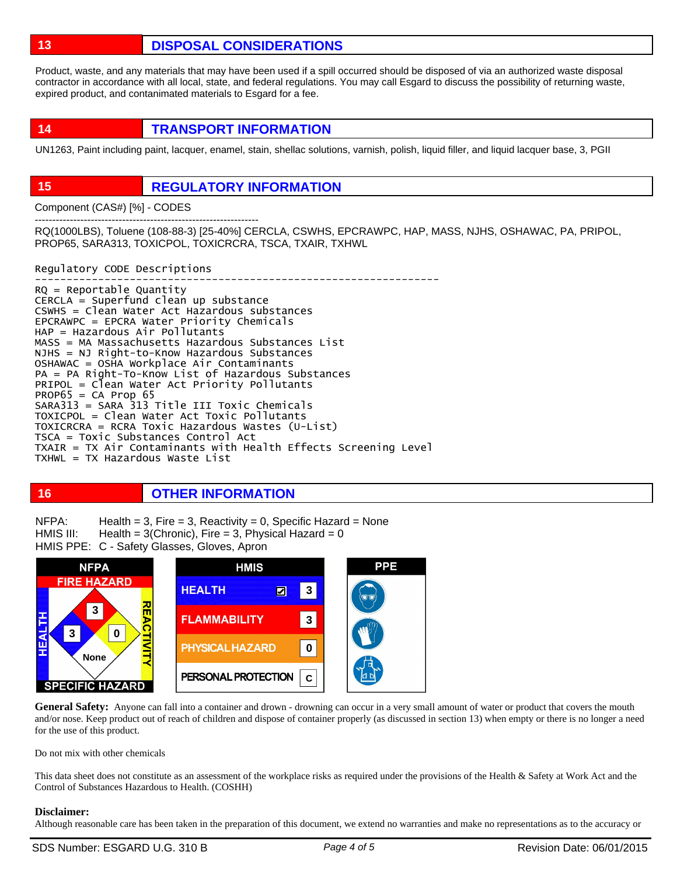**13 DISPOSAL CONSIDERATIONS**

Product, waste, and any materials that may have been used if a spill occurred should be disposed of via an authorized waste disposal contractor in accordance with all local, state, and federal regulations. You may call Esgard to discuss the possibility of returning waste, expired product, and contanimated materials to Esgard for a fee.

**14 TRANSPORT INFORMATION**

UN1263, Paint including paint, lacquer, enamel, stain, shellac solutions, varnish, polish, liquid filler, and liquid lacquer base, 3, PGII

# **15 REGULATORY INFORMATION**

Component (CAS#) [%] - CODES

---------------------------------------------------------------- RQ(1000LBS), Toluene (108-88-3) [25-40%] CERCLA, CSWHS, EPCRAWPC, HAP, MASS, NJHS, OSHAWAC, PA, PRIPOL, PROP65, SARA313, TOXICPOL, TOXICRCRA, TSCA, TXAIR, TXHWL

Regulatory CODE Descriptions

---------------------------------------------------------------- RQ = Reportable Quantity CERCLA = Superfund clean up substance CSWHS = Clean Water Act Hazardous substances EPCRAWPC = EPCRA Water Priority Chemicals HAP = Hazardous Air Pollutants MASS = MA Massachusetts Hazardous Substances List NJHS = NJ Right-to-Know Hazardous Substances OSHAWAC = OSHA Workplace Air Contaminants PA = PA Right-To-Know List of Hazardous Substances PRIPOL = Clean Water Act Priority Pollutants  $PROP65 = CA Prop65$ SARA313 = SARA 313 Title III Toxic Chemicals TOXICPOL = Clean Water Act Toxic Pollutants TOXICRCRA = RCRA Toxic Hazardous Wastes (U-List) TSCA = Toxic Substances Control Act TXAIR = TX Air Contaminants with Health Effects Screening Level TXHWL = TX Hazardous Waste List

# **16 OTHER INFORMATION**

Health  $= 3$ , Fire  $= 3$ , Reactivity  $= 0$ , Specific Hazard  $=$  None Health =  $3$ (Chronic), Fire =  $3$ , Physical Hazard =  $0$ HMIS PPE: C - Safety Glasses, Gloves, Apron NFPA: HMIS III:



General Safety: Anyone can fall into a container and drown - drowning can occur in a very small amount of water or product that covers the mouth and/or nose. Keep product out of reach of children and dispose of container properly (as discussed in section 13) when empty or there is no longer a need for the use of this product.

Do not mix with other chemicals

This data sheet does not constitute as an assessment of the workplace risks as required under the provisions of the Health & Safety at Work Act and the Control of Substances Hazardous to Health. (COSHH)

#### **Disclaimer:**

Although reasonable care has been taken in the preparation of this document, we extend no warranties and make no representations as to the accuracy or